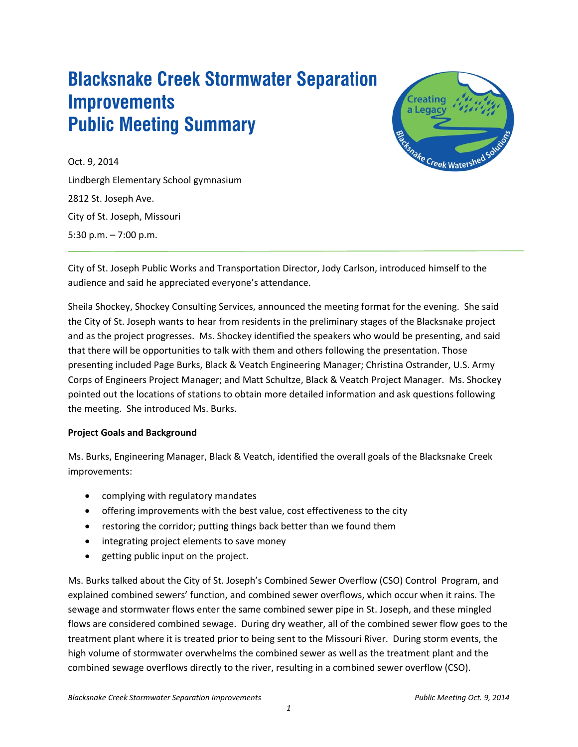# **Blacksnake Creek Stormwater Separation Improvements Public Meeting Summary**



Oct. 9, 2014 Lindbergh Elementary School gymnasium 2812 St. Joseph Ave. City of St. Joseph, Missouri 5:30 p.m. – 7:00 p.m.

City of St. Joseph Public Works and Transportation Director, Jody Carlson, introduced himself to the audience and said he appreciated everyone's attendance.

Sheila Shockey, Shockey Consulting Services, announced the meeting format for the evening. She said the City of St. Joseph wants to hear from residents in the preliminary stages of the Blacksnake project and as the project progresses. Ms. Shockey identified the speakers who would be presenting, and said that there will be opportunities to talk with them and others following the presentation. Those presenting included Page Burks, Black & Veatch Engineering Manager; Christina Ostrander, U.S. Army Corps of Engineers Project Manager; and Matt Schultze, Black & Veatch Project Manager. Ms. Shockey pointed out the locations of stations to obtain more detailed information and ask questions following the meeting. She introduced Ms. Burks.

#### **Project Goals and Background**

Ms. Burks, Engineering Manager, Black & Veatch, identified the overall goals of the Blacksnake Creek improvements:

- complying with regulatory mandates
- offering improvements with the best value, cost effectiveness to the city
- restoring the corridor; putting things back better than we found them
- integrating project elements to save money
- getting public input on the project.

Ms. Burks talked about the City of St. Joseph's Combined Sewer Overflow (CSO) Control Program, and explained combined sewers' function, and combined sewer overflows, which occur when it rains. The sewage and stormwater flows enter the same combined sewer pipe in St. Joseph, and these mingled flows are considered combined sewage. During dry weather, all of the combined sewer flow goes to the treatment plant where it is treated prior to being sent to the Missouri River. During storm events, the high volume of stormwater overwhelms the combined sewer as well as the treatment plant and the combined sewage overflows directly to the river, resulting in a combined sewer overflow (CSO).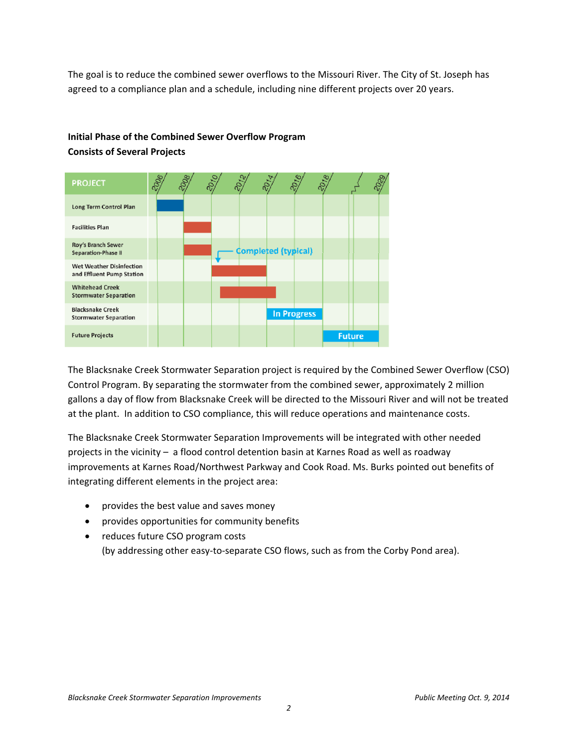The goal is to reduce the combined sewer overflows to the Missouri River. The City of St. Joseph has agreed to a compliance plan and a schedule, including nine different projects over 20 years.

# **Initial Phase of the Combined Sewer Overflow Program Consists of Several Projects**



The Blacksnake Creek Stormwater Separation project is required by the Combined Sewer Overflow (CSO) Control Program. By separating the stormwater from the combined sewer, approximately 2 million gallons a day of flow from Blacksnake Creek will be directed to the Missouri River and will not be treated at the plant. In addition to CSO compliance, this will reduce operations and maintenance costs.

The Blacksnake Creek Stormwater Separation Improvements will be integrated with other needed projects in the vicinity – a flood control detention basin at Karnes Road as well as roadway improvements at Karnes Road/Northwest Parkway and Cook Road. Ms. Burks pointed out benefits of integrating different elements in the project area:

- provides the best value and saves money
- provides opportunities for community benefits
- reduces future CSO program costs (by addressing other easy‐to‐separate CSO flows, such as from the Corby Pond area).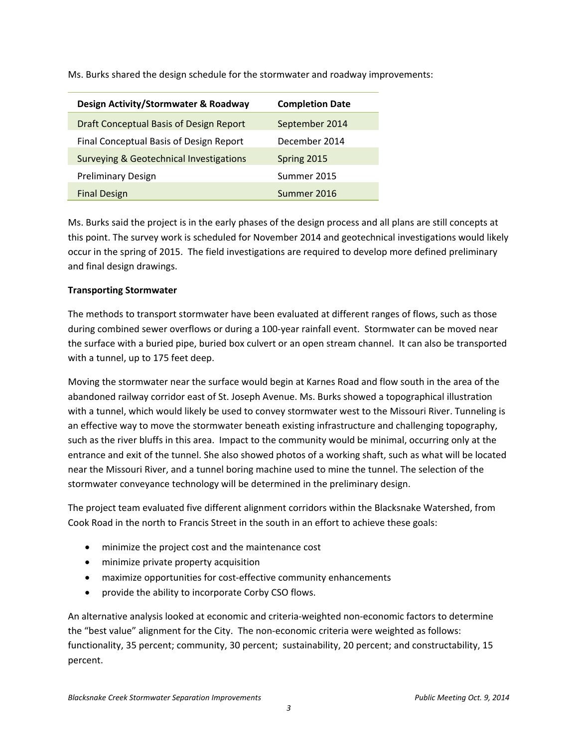Ms. Burks shared the design schedule for the stormwater and roadway improvements:

| <b>Design Activity/Stormwater &amp; Roadway</b>    | <b>Completion Date</b> |
|----------------------------------------------------|------------------------|
| Draft Conceptual Basis of Design Report            | September 2014         |
| Final Conceptual Basis of Design Report            | December 2014          |
| <b>Surveying &amp; Geotechnical Investigations</b> | Spring 2015            |
| <b>Preliminary Design</b>                          | Summer 2015            |
| <b>Final Design</b>                                | Summer 2016            |

Ms. Burks said the project is in the early phases of the design process and all plans are still concepts at this point. The survey work is scheduled for November 2014 and geotechnical investigations would likely occur in the spring of 2015. The field investigations are required to develop more defined preliminary and final design drawings.

# **Transporting Stormwater**

The methods to transport stormwater have been evaluated at different ranges of flows, such as those during combined sewer overflows or during a 100‐year rainfall event. Stormwater can be moved near the surface with a buried pipe, buried box culvert or an open stream channel. It can also be transported with a tunnel, up to 175 feet deep.

Moving the stormwater near the surface would begin at Karnes Road and flow south in the area of the abandoned railway corridor east of St. Joseph Avenue. Ms. Burks showed a topographical illustration with a tunnel, which would likely be used to convey stormwater west to the Missouri River. Tunneling is an effective way to move the stormwater beneath existing infrastructure and challenging topography, such as the river bluffs in this area. Impact to the community would be minimal, occurring only at the entrance and exit of the tunnel. She also showed photos of a working shaft, such as what will be located near the Missouri River, and a tunnel boring machine used to mine the tunnel. The selection of the stormwater conveyance technology will be determined in the preliminary design.

The project team evaluated five different alignment corridors within the Blacksnake Watershed, from Cook Road in the north to Francis Street in the south in an effort to achieve these goals:

- minimize the project cost and the maintenance cost
- minimize private property acquisition
- maximize opportunities for cost-effective community enhancements
- provide the ability to incorporate Corby CSO flows.

An alternative analysis looked at economic and criteria‐weighted non‐economic factors to determine the "best value" alignment for the City. The non‐economic criteria were weighted as follows: functionality, 35 percent; community, 30 percent; sustainability, 20 percent; and constructability, 15 percent.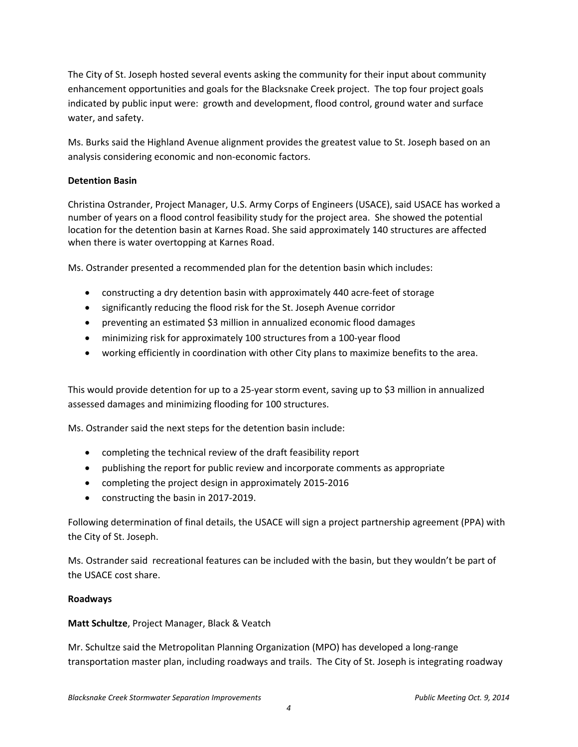The City of St. Joseph hosted several events asking the community for their input about community enhancement opportunities and goals for the Blacksnake Creek project. The top four project goals indicated by public input were: growth and development, flood control, ground water and surface water, and safety.

Ms. Burks said the Highland Avenue alignment provides the greatest value to St. Joseph based on an analysis considering economic and non‐economic factors.

## **Detention Basin**

Christina Ostrander, Project Manager, U.S. Army Corps of Engineers (USACE), said USACE has worked a number of years on a flood control feasibility study for the project area. She showed the potential location for the detention basin at Karnes Road. She said approximately 140 structures are affected when there is water overtopping at Karnes Road.

Ms. Ostrander presented a recommended plan for the detention basin which includes:

- constructing a dry detention basin with approximately 440 acre-feet of storage
- significantly reducing the flood risk for the St. Joseph Avenue corridor
- preventing an estimated \$3 million in annualized economic flood damages
- minimizing risk for approximately 100 structures from a 100‐year flood
- working efficiently in coordination with other City plans to maximize benefits to the area.

This would provide detention for up to a 25‐year storm event, saving up to \$3 million in annualized assessed damages and minimizing flooding for 100 structures.

Ms. Ostrander said the next steps for the detention basin include:

- completing the technical review of the draft feasibility report
- publishing the report for public review and incorporate comments as appropriate
- completing the project design in approximately 2015‐2016
- constructing the basin in 2017‐2019.

Following determination of final details, the USACE will sign a project partnership agreement (PPA) with the City of St. Joseph.

Ms. Ostrander said recreational features can be included with the basin, but they wouldn't be part of the USACE cost share.

#### **Roadways**

#### **Matt Schultze**, Project Manager, Black & Veatch

Mr. Schultze said the Metropolitan Planning Organization (MPO) has developed a long-range transportation master plan, including roadways and trails. The City of St. Joseph is integrating roadway